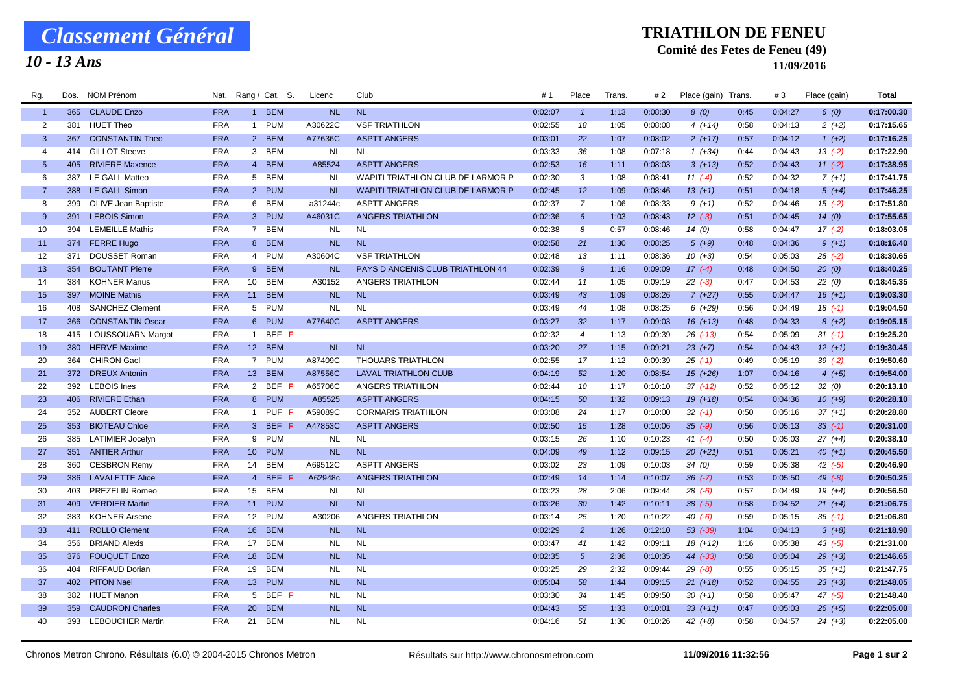# *Classement Général*

## *10 - 13 Ans*

#### **TRIATHLON DE FENEU**

### **Comité des Fetes de Feneu (49)**

**11/09/2016**

| Rg.            | Dos. | NOM Prénom                 | Nat.       |                 | Rang / Cat. S. | Licenc    | Club                                     | #1      | Place          | Trans. | # 2     | Place (gain) Trans. |      | #3      | Place (gain) | Total      |
|----------------|------|----------------------------|------------|-----------------|----------------|-----------|------------------------------------------|---------|----------------|--------|---------|---------------------|------|---------|--------------|------------|
| $\overline{1}$ |      | 365 CLAUDE Enzo            | <b>FRA</b> |                 | 1 BEM          | <b>NL</b> | <b>NL</b>                                | 0:02:07 | $\mathbf{1}$   | 1:13   | 0:08:30 | 8(0)                | 0:45 | 0:04:27 | 6(0)         | 0:17:00.30 |
| $\overline{2}$ | 381  | <b>HUET Theo</b>           | <b>FRA</b> |                 | 1 PUM          | A30622C   | <b>VSF TRIATHLON</b>                     | 0:02:55 | 18             | 1:05   | 0:08:08 | $4(+14)$            | 0:58 | 0:04:13 | $2(+2)$      | 0:17:15.65 |
| -3             | 367  | <b>CONSTANTIN Theo</b>     | <b>FRA</b> |                 | 2 BEM          | A77636C   | <b>ASPTT ANGERS</b>                      | 0:03:01 | 22             | 1:07   | 0:08:02 | $2(+17)$            | 0:57 | 0:04:12 | $1(+2)$      | 0:17:16.25 |
| $\overline{4}$ |      | 414 GILLOT Steeve          | <b>FRA</b> |                 | 3 BEM          | <b>NL</b> | <b>NL</b>                                | 0:03:33 | 36             | 1:08   | 0:07:18 | $1(+34)$            | 0:44 | 0:04:43 | $13( -2)$    | 0:17:22.90 |
| 5              | 405  | <b>RIVIERE Maxence</b>     | <b>FRA</b> |                 | 4 BEM          | A85524    | <b>ASPTT ANGERS</b>                      | 0:02:53 | 16             | 1:11   | 0:08:03 | $3(+13)$            | 0:52 | 0:04:43 | $11(-2)$     | 0:17:38.95 |
| 6              | 387  | LE GALL Matteo             | <b>FRA</b> |                 | 5 BEM          | <b>NL</b> | <b>WAPITI TRIATHLON CLUB DE LARMOR P</b> | 0:02:30 | 3              | 1:08   | 0:08:41 | $11(-4)$            | 0:52 | 0:04:32 | $7(+1)$      | 0:17:41.75 |
| -7             | 388  | LE GALL Simon              | <b>FRA</b> |                 | 2 PUM          | <b>NL</b> | <b>WAPITI TRIATHLON CLUB DE LARMOR P</b> | 0:02:45 | 12             | 1:09   | 0:08:46 | $13(+1)$            | 0:51 | 0:04:18 | $5(+4)$      | 0:17:46.25 |
| 8              | 399  | <b>OLIVE Jean Baptiste</b> | <b>FRA</b> |                 | 6 BEM          | a31244c   | <b>ASPTT ANGERS</b>                      | 0:02:37 | $\overline{7}$ | 1:06   | 0:08:33 | $9(+1)$             | 0:52 | 0:04:46 | $15( -2)$    | 0:17:51.80 |
| -9             | 391  | <b>LEBOIS Simon</b>        | <b>FRA</b> |                 | 3 PUM          | A46031C   | <b>ANGERS TRIATHLON</b>                  | 0:02:36 | 6              | 1:03   | 0:08:43 | $12 \ (-3)$         | 0:51 | 0:04:45 | 14(0)        | 0:17:55.65 |
| 10             | 394  | <b>LEMEILLE Mathis</b>     | <b>FRA</b> |                 | 7 BEM          | <b>NL</b> | <b>NL</b>                                | 0:02:38 | 8              | 0:57   | 0:08:46 | 14(0)               | 0:58 | 0:04:47 | $17(-2)$     | 0:18:03.05 |
| 11             |      | 374 FERRE Hugo             | <b>FRA</b> |                 | 8 BEM          | <b>NL</b> | <b>NL</b>                                | 0:02:58 | 21             | 1:30   | 0:08:25 | $5(+9)$             | 0:48 | 0:04:36 | $9(+1)$      | 0:18:16.40 |
| 12             | 371  | DOUSSET Roman              | <b>FRA</b> |                 | 4 PUM          | A30604C   | <b>VSF TRIATHLON</b>                     | 0:02:48 | 13             | 1:11   | 0:08:36 | $10(+3)$            | 0:54 | 0:05:03 | $28$ $(-2)$  | 0:18:30.65 |
| 13             | 354  | <b>BOUTANT Pierre</b>      | <b>FRA</b> |                 | 9 BEM          | <b>NL</b> | PAYS D ANCENIS CLUB TRIATHLON 44         | 0:02:39 | $\mathcal{G}$  | 1:16   | 0:09:09 | $17(-4)$            | 0:48 | 0:04:50 | 20(0)        | 0:18:40.25 |
| 14             | 384  | <b>KOHNER Marius</b>       | <b>FRA</b> |                 | 10 BEM         | A30152    | <b>ANGERS TRIATHLON</b>                  | 0:02:44 | 11             | 1:05   | 0:09:19 | $22 (-3)$           | 0:47 | 0:04:53 | 22(0)        | 0:18:45.35 |
| 15             | 397  | <b>MOINE Mathis</b>        | <b>FRA</b> |                 | 11 BEM         | <b>NL</b> | <b>NL</b>                                | 0:03:49 | 43             | 1:09   | 0:08:26 | $7(+27)$            | 0:55 | 0:04:47 | $16 (+1)$    | 0:19:03.30 |
| 16             | 408  | <b>SANCHEZ Clement</b>     | <b>FRA</b> |                 | 5 PUM          | <b>NL</b> | <b>NL</b>                                | 0:03:49 | 44             | 1:08   | 0:08:25 | $6(+29)$            | 0:56 | 0:04:49 | $18( -1)$    | 0:19:04.50 |
| 17             | 366  | <b>CONSTANTIN Oscar</b>    | <b>FRA</b> |                 | 6 PUM          | A77640C   | <b>ASPTT ANGERS</b>                      | 0:03:27 | 32             | 1:17   | 0:09:03 | $16 (+13)$          | 0:48 | 0:04:33 | $8(+2)$      | 0:19:05.15 |
| 18             | 415  | <b>LOUSSOUARN Margot</b>   | <b>FRA</b> |                 | 1 BEF F        |           |                                          | 0:02:32 | $\overline{4}$ | 1:13   | 0:09:39 | $26$ $(-13)$        | 0:54 | 0:05:09 | $31 (-1)$    | 0:19:25.20 |
| 19             |      | 380 HERVE Maxime           | <b>FRA</b> |                 | 12 BEM         | <b>NL</b> | <b>NL</b>                                | 0:03:20 | 27             | 1:15   | 0:09:21 | $23 (+7)$           | 0:54 | 0:04:43 | $12(+1)$     | 0:19:30.45 |
| 20             | 364  | <b>CHIRON Gael</b>         | FRA        |                 | 7 PUM          | A87409C   | <b>THOUARS TRIATHLON</b>                 | 0:02:55 | 17             | 1:12   | 0:09:39 | $25( -1)$           | 0:49 | 0:05:19 | $39( -2)$    | 0:19:50.60 |
| 21             |      | 372 DREUX Antonin          | <b>FRA</b> |                 | 13 BEM         | A87556C   | <b>LAVAL TRIATHLON CLUB</b>              | 0:04:19 | 52             | 1:20   | 0:08:54 | $15(+26)$           | 1:07 | 0:04:16 | $4(+5)$      | 0:19:54.00 |
| 22             | 392  | <b>LEBOIS</b> Ines         | <b>FRA</b> |                 | 2 BEF F        | A65706C   | ANGERS TRIATHLON                         | 0:02:44 | 10             | 1:17   | 0:10:10 | $37$ (-12)          | 0:52 | 0:05:12 | 32(0)        | 0:20:13.10 |
| 23             | 406  | <b>RIVIERE</b> Ethan       | <b>FRA</b> |                 | 8 PUM          | A85525    | <b>ASPTT ANGERS</b>                      | 0:04:15 | 50             | 1:32   | 0:09:13 | $19(+18)$           | 0:54 | 0:04:36 | $10(+9)$     | 0:20:28.10 |
| 24             |      | 352 AUBERT Cleore          | <b>FRA</b> |                 | 1 PUF F        | A59089C   | <b>CORMARIS TRIATHLON</b>                | 0:03:08 | 24             | 1:17   | 0:10:00 | $32$ (-1)           | 0:50 | 0:05:16 | $37 (+1)$    | 0:20:28.80 |
| 25             |      | 353 BIOTEAU Chloe          | <b>FRA</b> |                 | 3 BEF F        | A47853C   | <b>ASPTT ANGERS</b>                      | 0:02:50 | 15             | 1:28   | 0:10:06 | $35(-9)$            | 0:56 | 0:05:13 | $33(-1)$     | 0:20:31.00 |
| 26             | 385  | <b>LATIMIER Jocelyn</b>    | <b>FRA</b> |                 | 9 PUM          | <b>NL</b> | <b>NL</b>                                | 0:03:15 | 26             | 1:10   | 0:10:23 | 41 $(-4)$           | 0:50 | 0:05:03 | $27 (+4)$    | 0:20:38.10 |
| 27             |      | 351 ANTIER Arthur          | <b>FRA</b> | 10 <sup>1</sup> | <b>PUM</b>     | <b>NL</b> | <b>NL</b>                                | 0:04:09 | 49             | 1:12   | 0:09:15 | $20(+21)$           | 0:51 | 0:05:21 | $40(+1)$     | 0:20:45.50 |
| 28             | 360  | <b>CESBRON Remy</b>        | FRA        | 14              | <b>BEM</b>     | A69512C   | <b>ASPTT ANGERS</b>                      | 0:03:02 | 23             | 1:09   | 0:10:03 | 34(0)               | 0:59 | 0:05:38 | $42$ $(-5)$  | 0:20:46.90 |
| 29             | 386  | <b>LAVALETTE Alice</b>     | <b>FRA</b> |                 | 4 BEF F        | A62948c   | <b>ANGERS TRIATHLON</b>                  | 0:02:49 | 14             | 1:14   | 0:10:07 | $36$ (-7)           | 0:53 | 0:05:50 | $49$ $(-8)$  | 0:20:50.25 |
| 30             | 403  | <b>PREZELIN Romeo</b>      | <b>FRA</b> |                 | 15 BEM         | <b>NL</b> | <b>NL</b>                                | 0:03:23 | 28             | 2:06   | 0:09:44 | $28$ (-6)           | 0:57 | 0:04:49 | $19(+4)$     | 0:20:56.50 |
| 31             | 409  | <b>VERDIER Martin</b>      | <b>FRA</b> | 11              | <b>PUM</b>     | <b>NL</b> | <b>NL</b>                                | 0:03:26 | 30             | 1:42   | 0:10:11 | $38(-5)$            | 0:58 | 0:04:52 | $21 (+4)$    | 0:21:06.75 |
| 32             | 383  | <b>KOHNER Arsene</b>       | <b>FRA</b> |                 | 12 PUM         | A30206    | ANGERS TRIATHLON                         | 0:03:14 | 25             | 1:20   | 0:10:22 | $40( -6)$           | 0:59 | 0:05:15 | $36$ $(-1)$  | 0:21:06.80 |
| 33             | 411  | <b>ROLLO Clement</b>       | <b>FRA</b> | 16              | <b>BEM</b>     | <b>NL</b> | <b>NL</b>                                | 0:02:29 | $\overline{2}$ | 1:26   | 0:12:10 | $53$ $(-39)$        | 1:04 | 0:04:13 | $3(+8)$      | 0:21:18.90 |
| 34             | 356  | <b>BRIAND Alexis</b>       | <b>FRA</b> | 17              | <b>BEM</b>     | <b>NL</b> | <b>NL</b>                                | 0:03:47 | 41             | 1:42   | 0:09:11 | $18(+12)$           | 1:16 | 0:05:38 | $43$ $(-5)$  | 0:21:31.00 |
| 35             | 376  | <b>FOUQUET Enzo</b>        | <b>FRA</b> | 18 <sup>1</sup> | <b>BEM</b>     | <b>NL</b> | <b>NL</b>                                | 0:02:35 | $5^{\circ}$    | 2:36   | 0:10:35 | $44 (-33)$          | 0:58 | 0:05:04 | $29(+3)$     | 0:21:46.65 |
| 36             | 404  | <b>RIFFAUD Dorian</b>      | FRA        | 19              | <b>BEM</b>     | <b>NL</b> | <b>NL</b>                                | 0:03:25 | 29             | 2:32   | 0:09:44 | $29( -8)$           | 0:55 | 0:05:15 | $35(+1)$     | 0:21:47.75 |
| 37             |      | 402 PITON Nael             | <b>FRA</b> | 13 <sup>7</sup> | <b>PUM</b>     | <b>NL</b> | <b>NL</b>                                | 0:05:04 | 58             | 1:44   | 0:09:15 | $21 (+18)$          | 0:52 | 0:04:55 | $23(+3)$     | 0:21:48.05 |
| 38             |      | 382 HUET Manon             | <b>FRA</b> | 5 <sup>5</sup>  | BEF F          | <b>NL</b> | <b>NL</b>                                | 0:03:30 | 34             | 1:45   | 0:09:50 | $30 (+1)$           | 0:58 | 0:05:47 | $47$ (-5)    | 0:21:48.40 |
| 39             | 359  | <b>CAUDRON Charles</b>     | <b>FRA</b> | 20              | <b>BEM</b>     | <b>NL</b> | <b>NL</b>                                | 0:04:43 | 55             | 1:33   | 0:10:01 | $33 (+11)$          | 0:47 | 0:05:03 | $26 (+5)$    | 0:22:05.00 |
| 40             |      | 393 LEBOUCHER Martin       | <b>FRA</b> | 21              | <b>BEM</b>     | NL.       | <b>NL</b>                                | 0:04:16 | 51             | 1:30   | 0:10:26 | $42 (+8)$           | 0:58 | 0:04:57 | $24 (+3)$    | 0:22:05.00 |